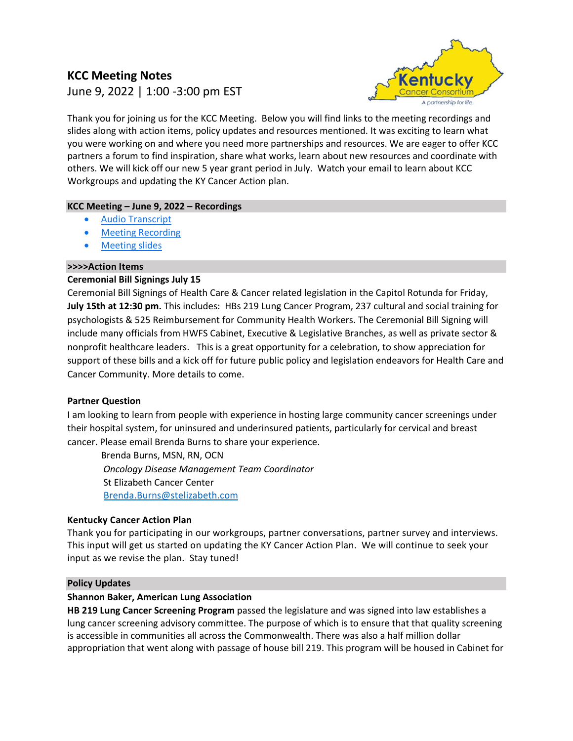# **KCC Meeting Notes**  June 9, 2022 | 1:00 -3:00 pm EST



Thank you for joining us for the KCC Meeting. Below you will find links to the meeting recordings and slides along with action items, policy updates and resources mentioned. It was exciting to learn what you were working on and where you need more partnerships and resources. We are eager to offer KCC partners a forum to find inspiration, share what works, learn about new resources and coordinate with others. We will kick off our new 5 year grant period in July. Watch your email to learn about KCC Workgroups and updating the KY Cancer Action plan.

## **KCC Meeting – June 9, 2022 – Recordings**

- [Audio Transcript](https://uky.zoom.us/rec/share/ZZobgv80FyTlBbtt2ICOnve9oPQap6qLiz34ooqgyFAV78ITO7yRowmQAyf_d-o6.CDdm-U0ffXZbffmA)
- **[Meeting Recording](https://uky.zoom.us/rec/share/be6rgUvFXu-JlBiQFRbhmer-U6SLurcWAsHfUExYOLzxBM9tuFvTywDJNwZcskgL.Ib6RxSWoHAh1h7-D)**
- [Meeting slides](https://nam04.safelinks.protection.outlook.com/?url=https%3A%2F%2Fwww.kycancerc.org%2Fwp-content%2Fuploads%2Fsites%2F14%2F2022%2F06%2FKCC-June-9-2022.pdf&data=05%7C01%7CElaine.Russell%40uky.edu%7Cef8f0cdc190045d57ea108da4b146fc6%7C2b30530b69b64457b818481cb53d42ae%7C0%7C0%7C637904848381190059%7CUnknown%7CTWFpbGZsb3d8eyJWIjoiMC4wLjAwMDAiLCJQIjoiV2luMzIiLCJBTiI6Ik1haWwiLCJXVCI6Mn0%3D%7C3000%7C%7C%7C&sdata=Xtdb34falHand90ikse%2F4U3e5tw5JnS%2B17AAx7zMNWY%3D&reserved=0)

### **>>>>Action Items**

## **Ceremonial Bill Signings July 15**

Ceremonial Bill Signings of Health Care & Cancer related legislation in the Capitol Rotunda for Friday, **July 15th at 12:30 pm.** This includes: HBs 219 Lung Cancer Program, 237 cultural and social training for psychologists & 525 Reimbursement for Community Health Workers. The Ceremonial Bill Signing will include many officials from HWFS Cabinet, Executive & Legislative Branches, as well as private sector & nonprofit healthcare leaders. This is a great opportunity for a celebration, to show appreciation for support of these bills and a kick off for future public policy and legislation endeavors for Health Care and Cancer Community. More details to come.

### **Partner Question**

I am looking to learn from people with experience in hosting large community cancer screenings under their hospital system, for uninsured and underinsured patients, particularly for cervical and breast cancer. Please email Brenda Burns to share your experience.

Brenda Burns, MSN, RN, OCN *Oncology Disease Management Team Coordinator* St Elizabeth Cancer Center [Brenda.Burns@stelizabeth.com](mailto:Brenda.Burns@stelizabeth.com)

### **Kentucky Cancer Action Plan**

Thank you for participating in our workgroups, partner conversations, partner survey and interviews. This input will get us started on updating the KY Cancer Action Plan. We will continue to seek your input as we revise the plan. Stay tuned!

### **Policy Updates**

### **Shannon Baker, American Lung Association**

**HB 219 Lung Cancer Screening Program** passed the legislature and was signed into law establishes a lung cancer screening advisory committee. The purpose of which is to ensure that that quality screening is accessible in communities all across the Commonwealth. There was also a half million dollar appropriation that went along with passage of house bill 219. This program will be housed in Cabinet for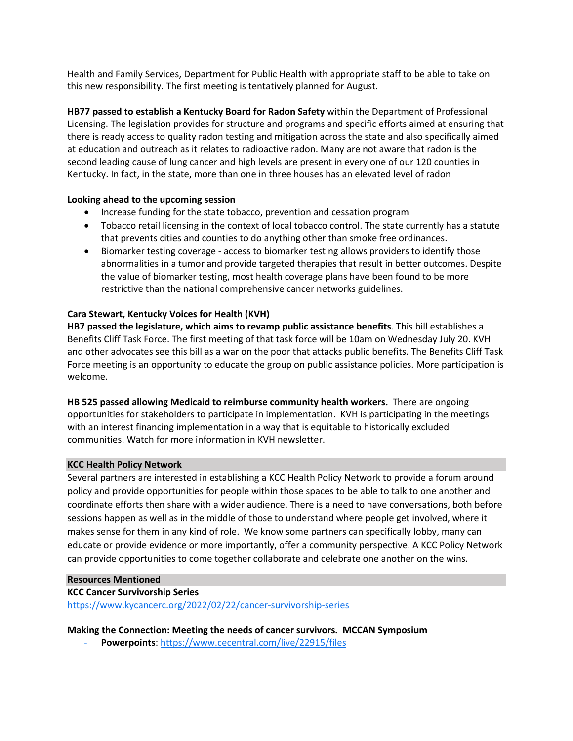Health and Family Services, Department for Public Health with appropriate staff to be able to take on this new responsibility. The first meeting is tentatively planned for August.

**HB77 passed to establish a Kentucky Board for Radon Safety** within the Department of Professional Licensing. The legislation provides for structure and programs and specific efforts aimed at ensuring that there is ready access to quality radon testing and mitigation across the state and also specifically aimed at education and outreach as it relates to radioactive radon. Many are not aware that radon is the second leading cause of lung cancer and high levels are present in every one of our 120 counties in Kentucky. In fact, in the state, more than one in three houses has an elevated level of radon

### **Looking ahead to the upcoming session**

- Increase funding for the state tobacco, prevention and cessation program
- Tobacco retail licensing in the context of local tobacco control. The state currently has a statute that prevents cities and counties to do anything other than smoke free ordinances.
- Biomarker testing coverage access to biomarker testing allows providers to identify those abnormalities in a tumor and provide targeted therapies that result in better outcomes. Despite the value of biomarker testing, most health coverage plans have been found to be more restrictive than the national comprehensive cancer networks guidelines.

## **Cara Stewart, Kentucky Voices for Health (KVH)**

**HB7 passed the legislature, which aims to revamp public assistance benefits**. This bill establishes a Benefits Cliff Task Force. The first meeting of that task force will be 10am on Wednesday July 20. KVH and other advocates see this bill as a war on the poor that attacks public benefits. The Benefits Cliff Task Force meeting is an opportunity to educate the group on public assistance policies. More participation is welcome.

**HB 525 passed allowing Medicaid to reimburse community health workers.** There are ongoing opportunities for stakeholders to participate in implementation. KVH is participating in the meetings with an interest financing implementation in a way that is equitable to historically excluded communities. Watch for more information in KVH newsletter.

### **KCC Health Policy Network**

Several partners are interested in establishing a KCC Health Policy Network to provide a forum around policy and provide opportunities for people within those spaces to be able to talk to one another and coordinate efforts then share with a wider audience. There is a need to have conversations, both before sessions happen as well as in the middle of those to understand where people get involved, where it makes sense for them in any kind of role. We know some partners can specifically lobby, many can educate or provide evidence or more importantly, offer a community perspective. A KCC Policy Network can provide opportunities to come together collaborate and celebrate one another on the wins.

### **Resources Mentioned**

### **KCC Cancer Survivorship Series**

[https://www.kycancerc.org/2022/02/22/cancer](https://www.kycancerc.org/2022/02/22/cancer-survivorship-series)-survivorship-series

**Making the Connection: Meeting the needs of cancer survivors. MCCAN Symposium** 

Powerpoints[: https://www.cecentral.com/live/22915/files](https://nam04.safelinks.protection.outlook.com/?url=https%3A%2F%2Fwww.cecentral.com%2Flive%2F22915%2Ffiles&data=05%7C01%7CElaine.Russell%40uky.edu%7C10068f3c4bfe4688109308da35167eec%7C2b30530b69b64457b818481cb53d42ae%7C0%7C0%7C637880667970898240%7CUnknown%7CTWFpbGZsb3d8eyJWIjoiMC4wLjAwMDAiLCJQIjoiV2luMzIiLCJBTiI6Ik1haWwiLCJXVCI6Mn0%3D%7C3000%7C%7C%7C&sdata=LJ6GntvVUNMWuFH2bZYG535PrXUn3kkV5FgOfXQ56sQ%3D&reserved=0)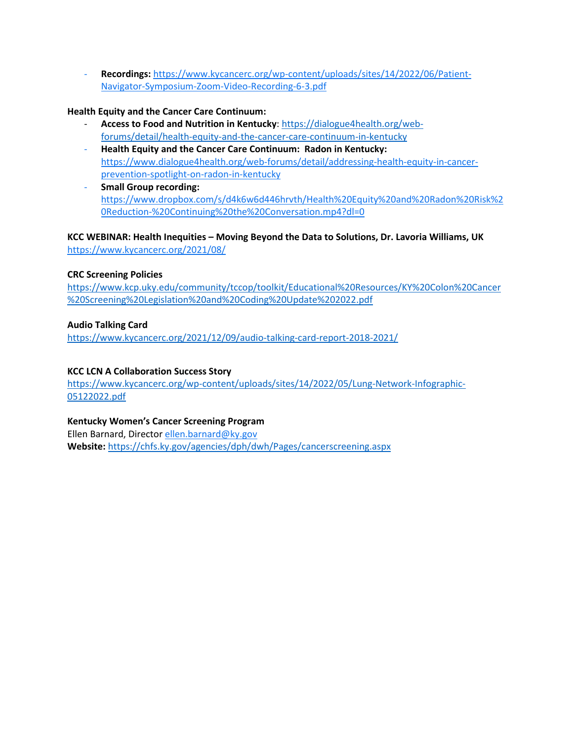- **Recordings:** https://www.kycancerc.org/wp-[content/uploads/sites/14/2022/06/Patient](https://nam04.safelinks.protection.outlook.com/?url=https%3A%2F%2Fwww.kycancerc.org%2Fwp-content%2Fuploads%2Fsites%2F14%2F2022%2F06%2FPatient-Navigator-Symposium-Zoom-Video-Recording-6-3.pdf&data=05%7C01%7CElaine.Russell%40uky.edu%7C46f019f3115e4ca9ca8008da4a314166%7C2b30530b69b64457b818481cb53d42ae%7C0%7C0%7C637903872647725764%7CUnknown%7CTWFpbGZsb3d8eyJWIjoiMC4wLjAwMDAiLCJQIjoiV2luMzIiLCJBTiI6Ik1haWwiLCJXVCI6Mn0%3D%7C3000%7C%7C%7C&sdata=GTxODZDsGh%2BvKZPn48LD3MoEnpWYEbv0yxhLHX9Y7A0%3D&reserved=0)-Navigator-[Symposium](https://nam04.safelinks.protection.outlook.com/?url=https%3A%2F%2Fwww.kycancerc.org%2Fwp-content%2Fuploads%2Fsites%2F14%2F2022%2F06%2FPatient-Navigator-Symposium-Zoom-Video-Recording-6-3.pdf&data=05%7C01%7CElaine.Russell%40uky.edu%7C46f019f3115e4ca9ca8008da4a314166%7C2b30530b69b64457b818481cb53d42ae%7C0%7C0%7C637903872647725764%7CUnknown%7CTWFpbGZsb3d8eyJWIjoiMC4wLjAwMDAiLCJQIjoiV2luMzIiLCJBTiI6Ik1haWwiLCJXVCI6Mn0%3D%7C3000%7C%7C%7C&sdata=GTxODZDsGh%2BvKZPn48LD3MoEnpWYEbv0yxhLHX9Y7A0%3D&reserved=0)-Zoom-Video-Recording-6-3.pdf

### **Health Equity and the Cancer Care Continuum:**

- **Access to Food and Nutrition in Kentucky**: [https://dialogue4health.org/web](https://dialogue4health.org/web-forums/detail/health-equity-and-the-cancer-care-continuum-in-kentucky)[forums/detail/health](https://dialogue4health.org/web-forums/detail/health-equity-and-the-cancer-care-continuum-in-kentucky)-equity-and-the-cancer-care-continuum-in-kentucky
- **Health Equity and the Cancer Care Continuum: Radon in Kentucky:**  [https://www.dialogue4health.org/web](https://www.dialogue4health.org/web-forums/detail/addressing-health-equity-in-cancer-prevention-spotlight-on-radon-in-kentucky)-forums/detail/addressing-health-equity-in-cancer[prevention](https://www.dialogue4health.org/web-forums/detail/addressing-health-equity-in-cancer-prevention-spotlight-on-radon-in-kentucky)-spotlight-on-radon-in-kentucky
- **Small Group recording:**  [https://www.dropbox.com/s/d4k6w6d446hrvth/Health%20Equity%20and%20Radon%20Risk%2](https://www.dropbox.com/s/d4k6w6d446hrvth/Health%20Equity%20and%20Radon%20Risk%20Reduction-%20Continuing%20the%20Conversation.mp4?dl=0) 0Reduction-[%20Continuing%20the%20Conversation.mp4?dl=0](https://www.dropbox.com/s/d4k6w6d446hrvth/Health%20Equity%20and%20Radon%20Risk%20Reduction-%20Continuing%20the%20Conversation.mp4?dl=0)

**KCC WEBINAR: Health Inequities – Moving Beyond the Data to Solutions, Dr. Lavoria Williams, UK**  https://www.kycancerc.org/2021/08/

#### **CRC Screening Policies**

[https://www.kcp.uky.edu/community/tccop/toolkit/Educational%20Resources/KY%20Colon%20Cancer](https://www.kcp.uky.edu/community/tccop/toolkit/Educational%20Resources/KY%20Colon%20Cancer%20Screening%20Legislation%20and%20Coding%20Update%202022.pdf) [%20Screening%20Legislation%20and%20Coding%20Update%202022.pdf](https://www.kcp.uky.edu/community/tccop/toolkit/Educational%20Resources/KY%20Colon%20Cancer%20Screening%20Legislation%20and%20Coding%20Update%202022.pdf)

#### **Audio Talking Card**

[https://www.kycancerc.org/2021/12/09/audio](https://www.kycancerc.org/2021/12/09/audio-talking-card-report-2018-2021/)-talking-card-report-2018-2021/

#### **KCC LCN A Collaboration Success Story**

https://www.kycancerc.org/wp-[content/uploads/sites/14/2022/05/Lung](https://www.kycancerc.org/wp-content/uploads/sites/14/2022/05/Lung-Network-Infographic-05122022.pdf)-Network-Infographic-[05122022.pdf](https://www.kycancerc.org/wp-content/uploads/sites/14/2022/05/Lung-Network-Infographic-05122022.pdf)

#### **Kentucky Women's Cancer Screening Program**

Ellen Barnard, Director [ellen.barnard@ky.gov](mailto:ellen.barnard@ky.gov) **Website:** [https://chfs.ky.gov/agencies/dph/dwh/Pages/cancerscreening.aspx](https://nam04.safelinks.protection.outlook.com/?url=https%3A%2F%2Fchfs.ky.gov%2Fagencies%2Fdph%2Fdwh%2FPages%2Fcancerscreening.aspx&data=05%7C01%7CElaine.Russell%40uky.edu%7Cb5be8f0af9b44eb7d87708da4d620ac9%7C2b30530b69b64457b818481cb53d42ae%7C0%7C0%7C637907380739117235%7CUnknown%7CTWFpbGZsb3d8eyJWIjoiMC4wLjAwMDAiLCJQIjoiV2luMzIiLCJBTiI6Ik1haWwiLCJXVCI6Mn0%3D%7C3000%7C%7C%7C&sdata=U7TqiGdgNP6ClJQHVYzq%2FMFFKjjX2jiV7QfRFnlflO8%3D&reserved=0)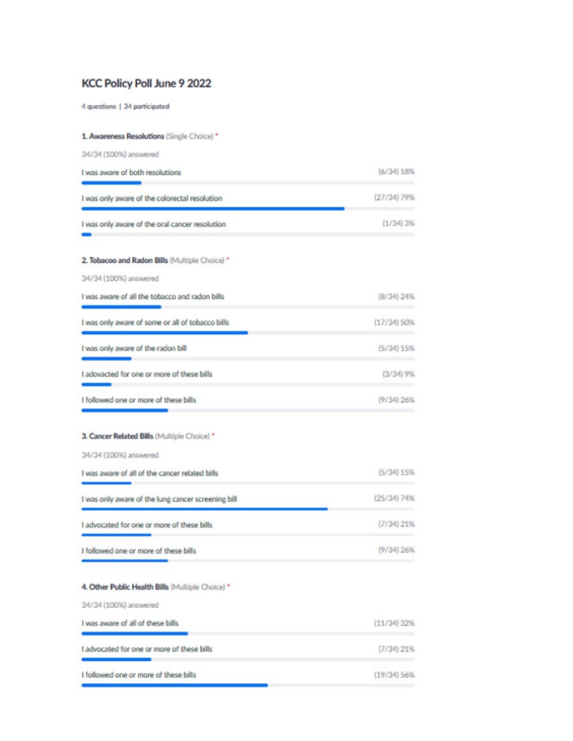## KCC Policy Poll June 9 2022

4 questions | 34 participated

| 1. Awareness Resolutions (Single Choice) *         |                |
|----------------------------------------------------|----------------|
| 34/34 (100%) answered                              |                |
| I was aware of both resolutions                    | (6/34) 18%     |
| I was only aware of the colorectal resolution      | (27/34) 79%    |
| I was only aware of the oral cancer resolution     | $(1/34)$ $3%$  |
| 2. Tobacoo and Radon Bills (Multiple Choice) *     |                |
| 34/34 (100%) answered                              |                |
| I was aware of all the tobacco and radon bills     | (8/34) 24%     |
| I was only aware of some or all of tobacco bills   | $(17/34)$ SO%  |
| I was only aware of the radon bill                 | $(5/34)$ 15%   |
| I adovacted for one or more of these bills         | $(3/34)$ $9%$  |
| I followed one or more of these bills              | $(9/34)$ 26%   |
| 3. Cancer Related Bills (Multiple Choice) *        |                |
| 34/34 (100%) answered                              |                |
| I was aware of all of the cancer related bills     | (5/34) 15%     |
| I was only aware of the lung cancer screening bill | (25/34) 74%    |
| I advocated for one or more of these bills         | $(7/34)$ $21%$ |
| I followed one or more of these bills              | (9/34) 26%     |
| 4. Other Public Health Bills (Multiple Choice) *   |                |
| 34/34 (100%) answered                              |                |
| I was aware of all of these bills                  | $(11/34)$ 32%  |
| I advocated for one or more of these bills         | $(7/34)$ 21%   |
| I followed one or more of these bills              | $(19/34)$ 56%  |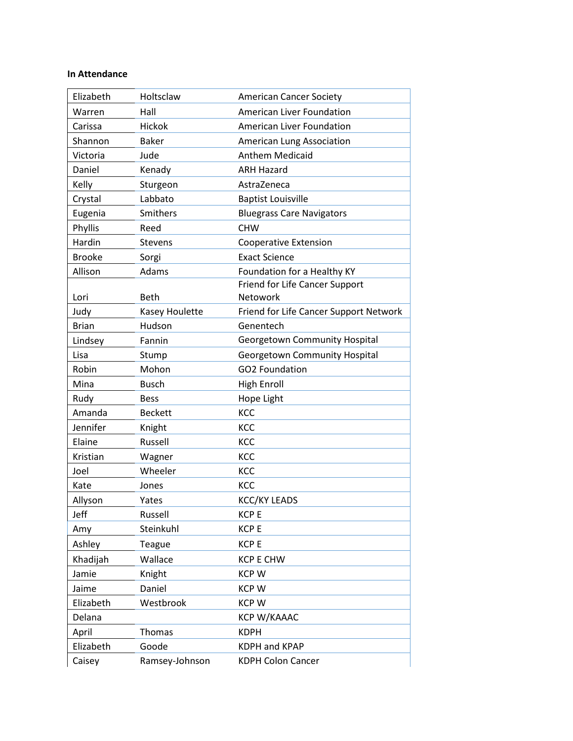### **In Attendance**

| Elizabeth     | Holtsclaw      | <b>American Cancer Society</b>         |
|---------------|----------------|----------------------------------------|
| Warren        | Hall           | American Liver Foundation              |
| Carissa       | <b>Hickok</b>  | American Liver Foundation              |
| Shannon       | <b>Baker</b>   | American Lung Association              |
| Victoria      | Jude           | <b>Anthem Medicaid</b>                 |
| Daniel        | Kenady         | <b>ARH Hazard</b>                      |
| Kelly         | Sturgeon       | AstraZeneca                            |
| Crystal       | Labbato        | <b>Baptist Louisville</b>              |
| Eugenia       | Smithers       | <b>Bluegrass Care Navigators</b>       |
| Phyllis       | Reed           | <b>CHW</b>                             |
| Hardin        | <b>Stevens</b> | <b>Cooperative Extension</b>           |
| <b>Brooke</b> | Sorgi          | <b>Exact Science</b>                   |
| Allison       | Adams          | Foundation for a Healthy KY            |
|               |                | Friend for Life Cancer Support         |
| Lori          | <b>Beth</b>    | Netowork                               |
| Judy          | Kasey Houlette | Friend for Life Cancer Support Network |
| <b>Brian</b>  | Hudson         | Genentech                              |
| Lindsey       | Fannin         | Georgetown Community Hospital          |
| Lisa          | Stump          | Georgetown Community Hospital          |
| Robin         | Mohon          | GO2 Foundation                         |
| Mina          | <b>Busch</b>   | <b>High Enroll</b>                     |
| Rudy          | <b>Bess</b>    | Hope Light                             |
| Amanda        | <b>Beckett</b> | KCC                                    |
| Jennifer      | Knight         | KCC                                    |
| Elaine        | Russell        | KCC                                    |
| Kristian      | Wagner         | KCC                                    |
| Joel          | Wheeler        | KCC                                    |
| Kate          | Jones          | KCC                                    |
| Allyson       | Yates          | <b>KCC/KY LEADS</b>                    |
| Jeff          | Russell        | <b>KCPE</b>                            |
| Amy           | Steinkuhl      | <b>KCPE</b>                            |
| Ashley        | Teague         | <b>KCPE</b>                            |
| Khadijah      | Wallace        | <b>KCP E CHW</b>                       |
| Jamie         | Knight         | <b>KCPW</b>                            |
| Jaime         | Daniel         | <b>KCPW</b>                            |
| Elizabeth     | Westbrook      | <b>KCPW</b>                            |
|               |                | <b>KCP W/KAAAC</b>                     |
| Delana        |                |                                        |
| April         | Thomas         | <b>KDPH</b>                            |
| Elizabeth     | Goode          | <b>KDPH and KPAP</b>                   |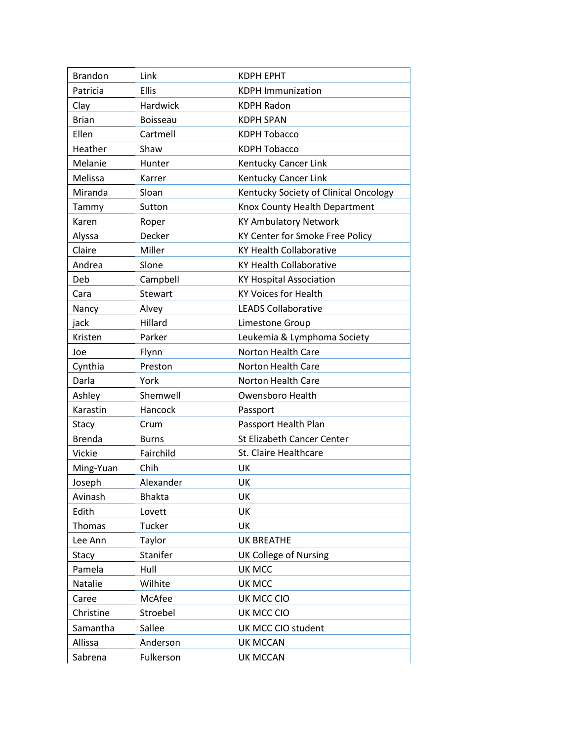| <b>Brandon</b> | Link            | <b>KDPH EPHT</b>                      |
|----------------|-----------------|---------------------------------------|
| Patricia       | <b>Ellis</b>    | <b>KDPH Immunization</b>              |
| Clay           | Hardwick        | <b>KDPH Radon</b>                     |
| <b>Brian</b>   | <b>Boisseau</b> | <b>KDPH SPAN</b>                      |
| Ellen          | Cartmell        | <b>KDPH Tobacco</b>                   |
| Heather        | Shaw            | <b>KDPH Tobacco</b>                   |
| Melanie        | Hunter          | Kentucky Cancer Link                  |
| Melissa        | Karrer          | Kentucky Cancer Link                  |
| Miranda        | Sloan           | Kentucky Society of Clinical Oncology |
| Tammy          | Sutton          | Knox County Health Department         |
| Karen          | Roper           | <b>KY Ambulatory Network</b>          |
| Alyssa         | Decker          | KY Center for Smoke Free Policy       |
| Claire         | Miller          | <b>KY Health Collaborative</b>        |
| Andrea         | Slone           | <b>KY Health Collaborative</b>        |
| Deb            | Campbell        | <b>KY Hospital Association</b>        |
| Cara           | <b>Stewart</b>  | <b>KY Voices for Health</b>           |
| Nancy          | Alvey           | <b>LEADS Collaborative</b>            |
| jack           | Hillard         | Limestone Group                       |
| Kristen        | Parker          | Leukemia & Lymphoma Society           |
| Joe            | Flynn           | <b>Norton Health Care</b>             |
| Cynthia        | Preston         | Norton Health Care                    |
| Darla          | York            | Norton Health Care                    |
| Ashley         | Shemwell        | <b>Owensboro Health</b>               |
| Karastin       | Hancock         | Passport                              |
| Stacy          | Crum            | Passport Health Plan                  |
| <b>Brenda</b>  | <b>Burns</b>    | St Elizabeth Cancer Center            |
| <b>Vickie</b>  | Fairchild       | St. Claire Healthcare                 |
| Ming-Yuan      | Chih            | UK                                    |
| Joseph         | Alexander       | UK                                    |
| Avinash        | <b>Bhakta</b>   | UK                                    |
| Edith          | Lovett          | UK                                    |
| Thomas         | Tucker          | <b>UK</b>                             |
| Lee Ann        | Taylor          | <b>UK BREATHE</b>                     |
| Stacy          | Stanifer        | <b>UK College of Nursing</b>          |
| Pamela         | Hull            | UK MCC                                |
| Natalie        | Wilhite         | UK MCC                                |
| Caree          | McAfee          | UK MCC CIO                            |
| Christine      | Stroebel        | UK MCC CIO                            |
| Samantha       | Sallee          | UK MCC CIO student                    |
| Allissa        | Anderson        | <b>UK MCCAN</b>                       |
|                |                 |                                       |